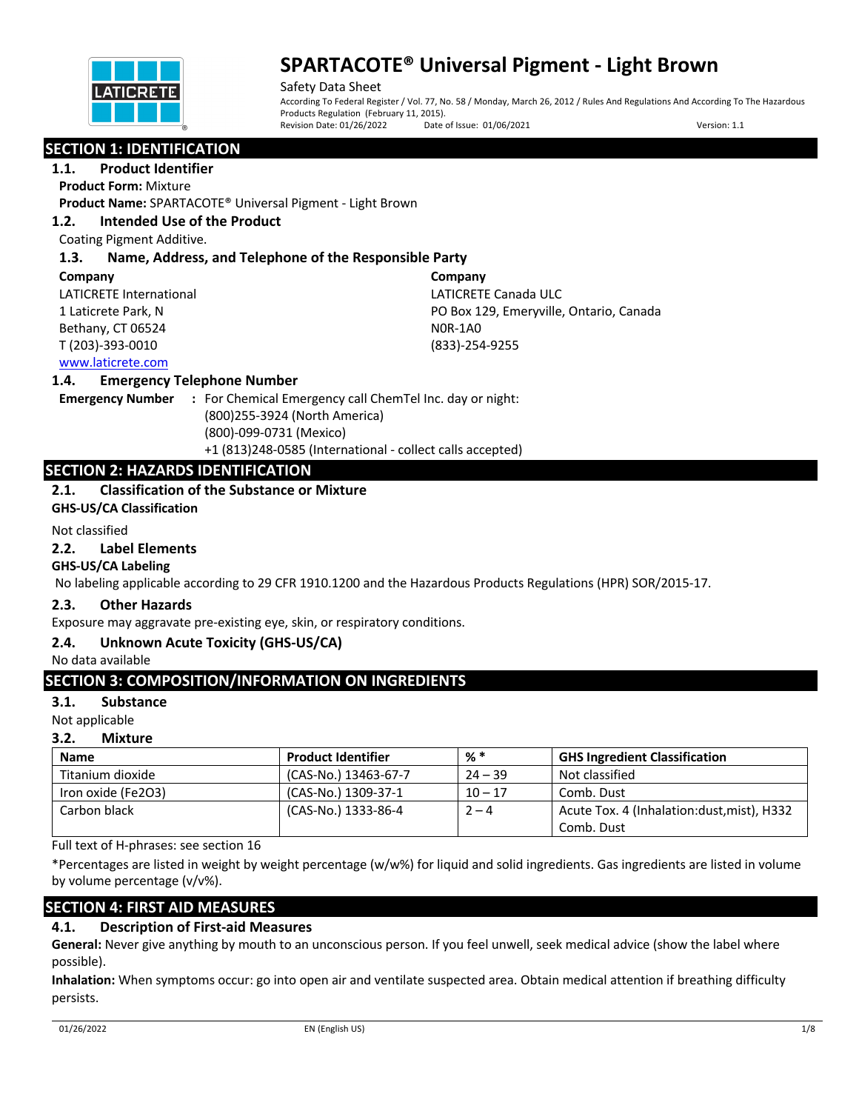

Safety Data Sheet According To Federal Register / Vol. 77, No. 58 / Monday, March 26, 2012 / Rules And Regulations And According To The Hazardous Products Regulation (February 11, 2015).<br>Revision Date: 01/26/2022 Date Date of Issue: 01/06/2021 Version: 1.1

# **SECTION 1: IDENTIFICATION**

**1.1. Product Identifier**

**Product Form:** Mixture

**Product Name:** SPARTACOTE® Universal Pigment - Light Brown

# **1.2. Intended Use of the Product**

Coating Pigment Additive.

# **1.3. Name, Address, and Telephone of the Responsible Party**

#### **Company**

LATICRETE International 1 Laticrete Park, N Bethany, CT 06524 T (203)-393-0010

**Company** LATICRETE Canada ULC PO Box 129, Emeryville, Ontario, Canada N0R-1A0 (833)-254-9255

# www.laticrete.com

# **1.4. Emergency Telephone Number**

**Emergency Number :** For Chemical Emergency call ChemTel Inc. day or night: (800)255-3924 (North America) (800)-099-0731 (Mexico) +1 (813)248-0585 (International - collect calls accepted)

# **SECTION 2: HAZARDS IDENTIFICATION**

# **2.1. Classification of the Substance or Mixture**

**GHS-US/CA Classification**

#### Not classified

#### **2.2. Label Elements**

# **GHS-US/CA Labeling**

No labeling applicable according to 29 CFR 1910.1200 and the Hazardous Products Regulations (HPR) SOR/2015-17.

# **2.3. Other Hazards**

Exposure may aggravate pre-existing eye, skin, or respiratory conditions.

# **2.4. Unknown Acute Toxicity (GHS-US/CA)**

No data available

# **SECTION 3: COMPOSITION/INFORMATION ON INGREDIENTS**

# **3.1. Substance**

Not applicable

# **3.2. Mixture**

| <b>Name</b>        | <b>Product Identifier</b> | %*        | <b>GHS Ingredient Classification</b>       |
|--------------------|---------------------------|-----------|--------------------------------------------|
| Titanium dioxide   | (CAS-No.) 13463-67-7      | $24 - 39$ | Not classified                             |
| Iron oxide (Fe2O3) | (CAS-No.) 1309-37-1       | $10 - 17$ | Comb. Dust                                 |
| Carbon black       | (CAS-No.) 1333-86-4       | $2 - 4$   | Acute Tox. 4 (Inhalation:dust, mist), H332 |
|                    |                           |           | Comb. Dust                                 |

Full text of H-phrases: see section 16

\*Percentages are listed in weight by weight percentage (w/w%) for liquid and solid ingredients. Gas ingredients are listed in volume by volume percentage (v/v%).

# **SECTION 4: FIRST AID MEASURES**

# **4.1. Description of First-aid Measures**

**General:** Never give anything by mouth to an unconscious person. If you feel unwell, seek medical advice (show the label where possible).

**Inhalation:** When symptoms occur: go into open air and ventilate suspected area. Obtain medical attention if breathing difficulty persists.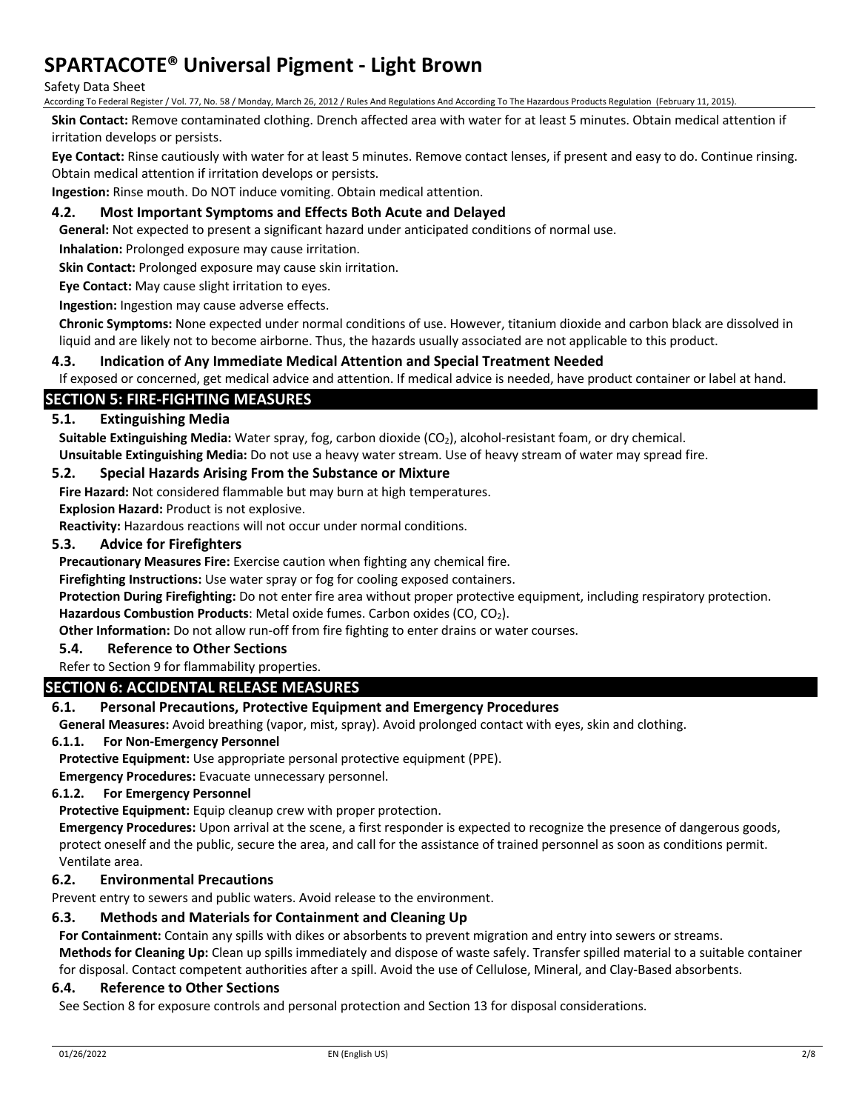#### Safety Data Sheet

According To Federal Register / Vol. 77, No. 58 / Monday, March 26, 2012 / Rules And Regulations And According To The Hazardous Products Regulation (February 11, 2015).

**Skin Contact:** Remove contaminated clothing. Drench affected area with water for at least 5 minutes. Obtain medical attention if irritation develops or persists.

**Eye Contact:** Rinse cautiously with water for at least 5 minutes. Remove contact lenses, if present and easy to do. Continue rinsing. Obtain medical attention if irritation develops or persists.

**Ingestion:** Rinse mouth. Do NOT induce vomiting. Obtain medical attention.

# **4.2. Most Important Symptoms and Effects Both Acute and Delayed**

**General:** Not expected to present a significant hazard under anticipated conditions of normal use.

**Inhalation:** Prolonged exposure may cause irritation.

**Skin Contact:** Prolonged exposure may cause skin irritation.

**Eye Contact:** May cause slight irritation to eyes.

**Ingestion:** Ingestion may cause adverse effects.

**Chronic Symptoms:** None expected under normal conditions of use. However, titanium dioxide and carbon black are dissolved in liquid and are likely not to become airborne. Thus, the hazards usually associated are not applicable to this product.

# **4.3. Indication of Any Immediate Medical Attention and Special Treatment Needed**

If exposed or concerned, get medical advice and attention. If medical advice is needed, have product container or label at hand.

# **SECTION 5: FIRE-FIGHTING MEASURES**

# **5.1. Extinguishing Media**

Suitable Extinguishing Media: Water spray, fog, carbon dioxide (CO<sub>2</sub>), alcohol-resistant foam, or dry chemical. **Unsuitable Extinguishing Media:** Do not use a heavy water stream. Use of heavy stream of water may spread fire.

#### **5.2. Special Hazards Arising From the Substance or Mixture**

**Fire Hazard:** Not considered flammable but may burn at high temperatures.

**Explosion Hazard:** Product is not explosive.

**Reactivity:** Hazardous reactions will not occur under normal conditions.

#### **5.3. Advice for Firefighters**

**Precautionary Measures Fire:** Exercise caution when fighting any chemical fire.

**Firefighting Instructions:** Use water spray or fog for cooling exposed containers.

**Protection During Firefighting:** Do not enter fire area without proper protective equipment, including respiratory protection.

Hazardous Combustion Products: Metal oxide fumes. Carbon oxides (CO, CO<sub>2</sub>).

**Other Information:** Do not allow run-off from fire fighting to enter drains or water courses.

#### **5.4. Reference to Other Sections**

#### Refer to Section 9 for flammability properties.

# **SECTION 6: ACCIDENTAL RELEASE MEASURES**

# **6.1. Personal Precautions, Protective Equipment and Emergency Procedures**

**General Measures:** Avoid breathing (vapor, mist, spray). Avoid prolonged contact with eyes, skin and clothing.

#### **6.1.1. For Non-Emergency Personnel**

**Protective Equipment:** Use appropriate personal protective equipment (PPE).

**Emergency Procedures:** Evacuate unnecessary personnel.

# **6.1.2. For Emergency Personnel**

**Protective Equipment:** Equip cleanup crew with proper protection.

**Emergency Procedures:** Upon arrival at the scene, a first responder is expected to recognize the presence of dangerous goods, protect oneself and the public, secure the area, and call for the assistance of trained personnel as soon as conditions permit. Ventilate area.

# **6.2. Environmental Precautions**

Prevent entry to sewers and public waters. Avoid release to the environment.

# **6.3. Methods and Materials for Containment and Cleaning Up**

**For Containment:** Contain any spills with dikes or absorbents to prevent migration and entry into sewers or streams.

**Methods for Cleaning Up:** Clean up spills immediately and dispose of waste safely. Transfer spilled material to a suitable container for disposal. Contact competent authorities after a spill. Avoid the use of Cellulose, Mineral, and Clay-Based absorbents.

#### **6.4. Reference to Other Sections**

See Section 8 for exposure controls and personal protection and Section 13 for disposal considerations.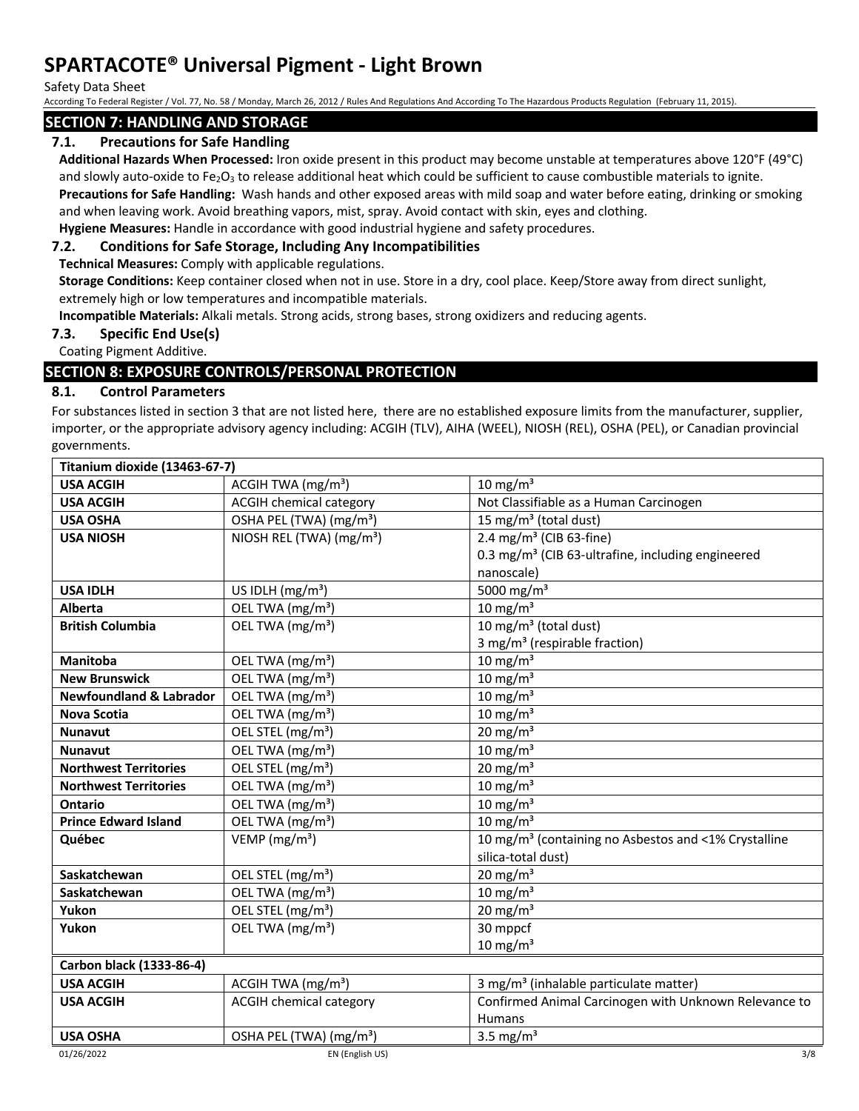Safety Data Sheet

According To Federal Register / Vol. 77, No. 58 / Monday, March 26, 2012 / Rules And Regulations And According To The Hazardous Products Regulation (February 11, 2015).

# **SECTION 7: HANDLING AND STORAGE**

# **7.1. Precautions for Safe Handling**

**Additional Hazards When Processed:** Iron oxide present in this product may become unstable at temperatures above 120°F (49°C) and slowly auto-oxide to Fe<sub>2</sub>O<sub>3</sub> to release additional heat which could be sufficient to cause combustible materials to ignite.

**Precautions for Safe Handling:** Wash hands and other exposed areas with mild soap and water before eating, drinking or smoking and when leaving work. Avoid breathing vapors, mist, spray. Avoid contact with skin, eyes and clothing.

# **Hygiene Measures:** Handle in accordance with good industrial hygiene and safety procedures. **7.2. Conditions for Safe Storage, Including Any Incompatibilities**

**Technical Measures:** Comply with applicable regulations.

**Storage Conditions:** Keep container closed when not in use. Store in a dry, cool place. Keep/Store away from direct sunlight, extremely high or low temperatures and incompatible materials.

**Incompatible Materials:** Alkali metals. Strong acids, strong bases, strong oxidizers and reducing agents.

# **7.3. Specific End Use(s)**

Coating Pigment Additive.

# **SECTION 8: EXPOSURE CONTROLS/PERSONAL PROTECTION**

# **8.1. Control Parameters**

For substances listed in section 3 that are not listed here, there are no established exposure limits from the manufacturer, supplier, importer, or the appropriate advisory agency including: ACGIH (TLV), AIHA (WEEL), NIOSH (REL), OSHA (PEL), or Canadian provincial governments.

| Titanium dioxide (13463-67-7)      |                                      |                                                                  |
|------------------------------------|--------------------------------------|------------------------------------------------------------------|
| <b>USA ACGIH</b>                   | ACGIH TWA $(mg/m3)$                  | $10 \text{ mg/m}^3$                                              |
| <b>USA ACGIH</b>                   | <b>ACGIH chemical category</b>       | Not Classifiable as a Human Carcinogen                           |
| <b>USA OSHA</b>                    | OSHA PEL (TWA) (mg/m <sup>3</sup> )  | 15 mg/m <sup>3</sup> (total dust)                                |
| <b>USA NIOSH</b>                   | NIOSH REL (TWA) (mg/m <sup>3</sup> ) | 2.4 mg/m <sup>3</sup> (CIB 63-fine)                              |
|                                    |                                      | 0.3 mg/m <sup>3</sup> (CIB 63-ultrafine, including engineered    |
|                                    |                                      | nanoscale)                                                       |
| <b>USA IDLH</b>                    | US IDLH $(mg/m3)$                    | 5000 mg/m <sup>3</sup>                                           |
| <b>Alberta</b>                     | OEL TWA (mg/m <sup>3</sup> )         | $10 \text{ mg/m}^3$                                              |
| <b>British Columbia</b>            | OEL TWA (mg/m <sup>3</sup> )         | 10 mg/m $3$ (total dust)                                         |
|                                    |                                      | 3 mg/m <sup>3</sup> (respirable fraction)                        |
| <b>Manitoba</b>                    | OEL TWA (mg/m <sup>3</sup> )         | $10 \text{ mg/m}^3$                                              |
| <b>New Brunswick</b>               | OEL TWA (mg/m <sup>3</sup> )         | $10 \text{ mg/m}^3$                                              |
| <b>Newfoundland &amp; Labrador</b> | OEL TWA (mg/m <sup>3</sup> )         | 10 mg/m $3$                                                      |
| <b>Nova Scotia</b>                 | OEL TWA (mg/m <sup>3</sup> )         | 10 mg/m $3$                                                      |
| <b>Nunavut</b>                     | OEL STEL (mg/m <sup>3</sup> )        | 20 mg/m $3$                                                      |
| <b>Nunavut</b>                     | OEL TWA (mg/m <sup>3</sup> )         | $10 \text{ mg/m}^3$                                              |
| <b>Northwest Territories</b>       | OEL STEL (mg/m <sup>3</sup> )        | 20 mg/m $3$                                                      |
| <b>Northwest Territories</b>       | OEL TWA (mg/m <sup>3</sup> )         | $10 \text{ mg/m}^3$                                              |
| Ontario                            | OEL TWA (mg/m <sup>3</sup> )         | 10 mg/m $3$                                                      |
| <b>Prince Edward Island</b>        | OEL TWA (mg/m <sup>3</sup> )         | 10 mg/ $m3$                                                      |
| Québec                             | VEMP ( $mg/m3$ )                     | 10 mg/m <sup>3</sup> (containing no Asbestos and <1% Crystalline |
|                                    |                                      | silica-total dust)                                               |
| Saskatchewan                       | OEL STEL (mg/m <sup>3</sup> )        | $20 \text{ mg/m}^3$                                              |
| Saskatchewan                       | OEL TWA (mg/m <sup>3</sup> )         | 10 mg/m $3$                                                      |
| Yukon                              | OEL STEL (mg/m <sup>3</sup> )        | 20 mg/m $3$                                                      |
| Yukon                              | OEL TWA (mg/m <sup>3</sup> )         | 30 mppcf                                                         |
|                                    |                                      | $10 \text{ mg/m}^3$                                              |
| Carbon black (1333-86-4)           |                                      |                                                                  |
| <b>USA ACGIH</b>                   | ACGIH TWA $(mg/m3)$                  | 3 mg/m <sup>3</sup> (inhalable particulate matter)               |
| <b>USA ACGIH</b>                   | <b>ACGIH chemical category</b>       | Confirmed Animal Carcinogen with Unknown Relevance to            |
|                                    |                                      | <b>Humans</b>                                                    |
| <b>USA OSHA</b>                    | OSHA PEL (TWA) (mg/m <sup>3</sup> )  | 3.5 mg/ $m3$                                                     |
| 01/26/2022                         | EN (English US)                      | 3/8                                                              |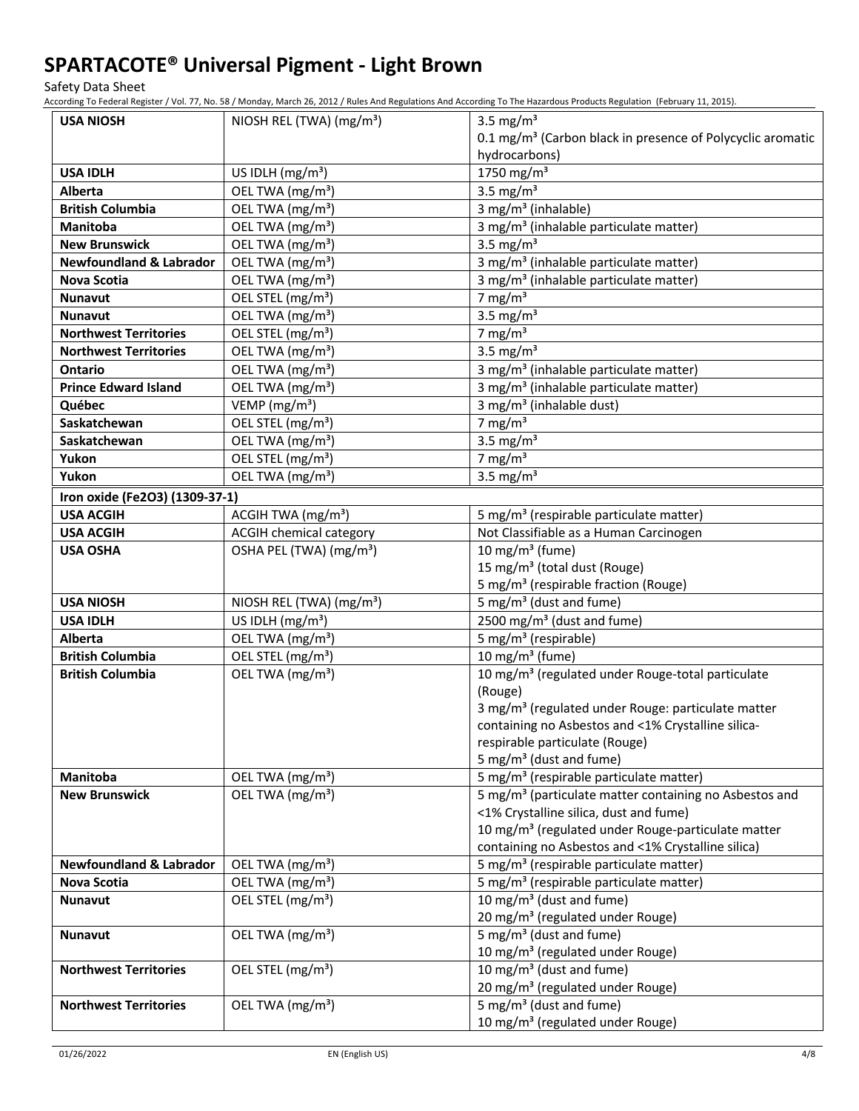Safety Data Sheet

According To Federal Register / Vol. 77, No. 58 / Monday, March 26, 2012 / Rules And Regulations And According To The Hazardous Products Regulation (February 11, 2015).

| <b>USA NIOSH</b>                   | NIOSH REL (TWA) (mg/m <sup>3</sup> ) | 3.5 mg/m <sup>3</sup>                                                  |
|------------------------------------|--------------------------------------|------------------------------------------------------------------------|
|                                    |                                      | 0.1 mg/m <sup>3</sup> (Carbon black in presence of Polycyclic aromatic |
|                                    |                                      | hydrocarbons)                                                          |
| <b>USA IDLH</b>                    | US IDLH $(mg/m3)$                    | 1750 mg/m <sup>3</sup>                                                 |
| <b>Alberta</b>                     | OEL TWA (mg/m <sup>3</sup> )         | 3.5 mg/ $m3$                                                           |
| <b>British Columbia</b>            | OEL TWA (mg/m <sup>3</sup> )         | 3 mg/m <sup>3</sup> (inhalable)                                        |
| Manitoba                           | OEL TWA (mg/m <sup>3</sup> )         | 3 mg/m <sup>3</sup> (inhalable particulate matter)                     |
| <b>New Brunswick</b>               | OEL TWA (mg/m <sup>3</sup> )         | 3.5 mg/ $m3$                                                           |
| <b>Newfoundland &amp; Labrador</b> | OEL TWA (mg/m <sup>3</sup> )         | 3 mg/m <sup>3</sup> (inhalable particulate matter)                     |
| <b>Nova Scotia</b>                 | OEL TWA (mg/m <sup>3</sup> )         | 3 mg/m <sup>3</sup> (inhalable particulate matter)                     |
| <b>Nunavut</b>                     | OEL STEL (mg/m <sup>3</sup> )        | 7 mg/m $3$                                                             |
| <b>Nunavut</b>                     | OEL TWA (mg/m <sup>3</sup> )         | 3.5 mg/ $m3$                                                           |
| <b>Northwest Territories</b>       | OEL STEL (mg/m <sup>3</sup> )        | 7 mg/m $3$                                                             |
| <b>Northwest Territories</b>       | OEL TWA (mg/m <sup>3</sup> )         | 3.5 mg/ $m3$                                                           |
| <b>Ontario</b>                     | OEL TWA (mg/m <sup>3</sup> )         | 3 mg/m <sup>3</sup> (inhalable particulate matter)                     |
| <b>Prince Edward Island</b>        | OEL TWA (mg/m <sup>3</sup> )         | 3 mg/m <sup>3</sup> (inhalable particulate matter)                     |
| Québec                             | VEMP ( $mg/m3$ )                     | 3 mg/m <sup>3</sup> (inhalable dust)                                   |
| Saskatchewan                       | OEL STEL (mg/m <sup>3</sup> )        | 7 mg/m $3$                                                             |
| Saskatchewan                       | OEL TWA (mg/m <sup>3</sup> )         | 3.5 mg/ $m3$                                                           |
| Yukon                              | OEL STEL (mg/m <sup>3</sup> )        | 7 mg/m $3$                                                             |
| Yukon                              | OEL TWA (mg/m <sup>3</sup> )         | 3.5 mg/ $m3$                                                           |
| Iron oxide (Fe2O3) (1309-37-1)     |                                      |                                                                        |
| <b>USA ACGIH</b>                   | ACGIH TWA (mg/m <sup>3</sup> )       | 5 mg/m <sup>3</sup> (respirable particulate matter)                    |
| <b>USA ACGIH</b>                   | <b>ACGIH chemical category</b>       | Not Classifiable as a Human Carcinogen                                 |
| <b>USA OSHA</b>                    | OSHA PEL (TWA) (mg/m <sup>3</sup> )  | 10 mg/m <sup>3</sup> (fume)                                            |
|                                    |                                      | 15 mg/m <sup>3</sup> (total dust (Rouge)                               |
|                                    |                                      | 5 mg/m <sup>3</sup> (respirable fraction (Rouge)                       |
| <b>USA NIOSH</b>                   | NIOSH REL (TWA) (mg/m <sup>3</sup> ) | 5 mg/m <sup>3</sup> (dust and fume)                                    |
| <b>USA IDLH</b>                    | US IDLH (mg/m <sup>3</sup> )         | 2500 mg/m <sup>3</sup> (dust and fume)                                 |
| Alberta                            | OEL TWA (mg/m <sup>3</sup> )         | 5 mg/m <sup>3</sup> (respirable)                                       |
| <b>British Columbia</b>            | OEL STEL (mg/m <sup>3</sup> )        | 10 mg/m $3$ (fume)                                                     |
| <b>British Columbia</b>            | OEL TWA (mg/m <sup>3</sup> )         | 10 mg/m <sup>3</sup> (regulated under Rouge-total particulate          |
|                                    |                                      | (Rouge)                                                                |
|                                    |                                      | 3 mg/m <sup>3</sup> (regulated under Rouge: particulate matter         |
|                                    |                                      | containing no Asbestos and <1% Crystalline silica-                     |
|                                    |                                      | respirable particulate (Rouge)                                         |
|                                    |                                      | 5 mg/m <sup>3</sup> (dust and fume)                                    |
| Manitoba                           | OEL TWA (mg/m <sup>3</sup> )         | 5 mg/m <sup>3</sup> (respirable particulate matter)                    |
| <b>New Brunswick</b>               | OEL TWA (mg/m <sup>3</sup> )         | 5 mg/m <sup>3</sup> (particulate matter containing no Asbestos and     |
|                                    |                                      | <1% Crystalline silica, dust and fume)                                 |
|                                    |                                      | 10 mg/m <sup>3</sup> (regulated under Rouge-particulate matter         |
|                                    |                                      | containing no Asbestos and <1% Crystalline silica)                     |
| <b>Newfoundland &amp; Labrador</b> | OEL TWA (mg/m <sup>3</sup> )         | 5 mg/m <sup>3</sup> (respirable particulate matter)                    |
| <b>Nova Scotia</b>                 | OEL TWA (mg/m <sup>3</sup> )         | 5 mg/m <sup>3</sup> (respirable particulate matter)                    |
| Nunavut                            | OEL STEL (mg/m <sup>3</sup> )        | 10 mg/m <sup>3</sup> (dust and fume)                                   |
|                                    |                                      | 20 mg/m <sup>3</sup> (regulated under Rouge)                           |
| Nunavut                            | OEL TWA (mg/m <sup>3</sup> )         | 5 mg/m <sup>3</sup> (dust and fume)                                    |
|                                    |                                      | 10 mg/m <sup>3</sup> (regulated under Rouge)                           |
| <b>Northwest Territories</b>       | OEL STEL (mg/m <sup>3</sup> )        | 10 mg/m <sup>3</sup> (dust and fume)                                   |
|                                    |                                      | 20 mg/m <sup>3</sup> (regulated under Rouge)                           |
| <b>Northwest Territories</b>       | OEL TWA (mg/m <sup>3</sup> )         | 5 mg/m <sup>3</sup> (dust and fume)                                    |
|                                    |                                      | 10 mg/m <sup>3</sup> (regulated under Rouge)                           |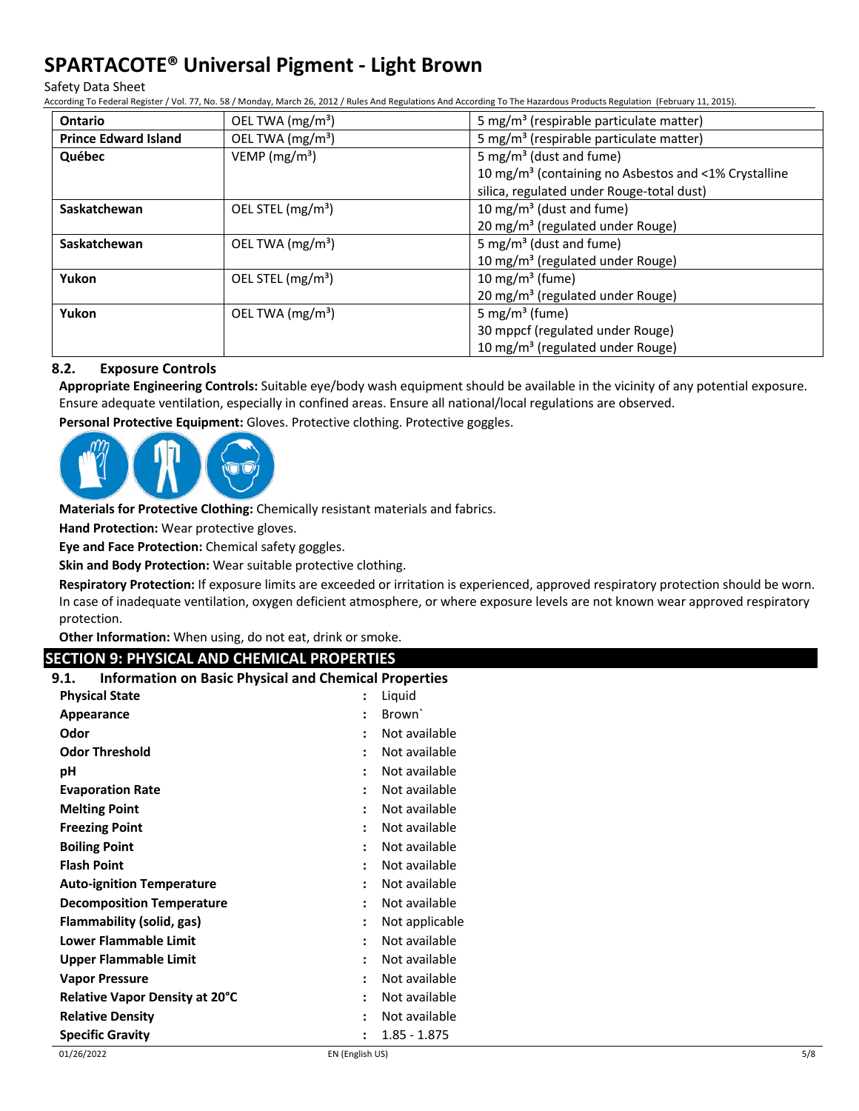Safety Data Sheet

According To Federal Register / Vol. 77, No. 58 / Monday, March 26, 2012 / Rules And Regulations And According To The Hazardous Products Regulation (February 11, 2015).

| <b>Ontario</b>              | OEL TWA (mg/m <sup>3</sup> ) | 5 mg/m <sup>3</sup> (respirable particulate matter)              |
|-----------------------------|------------------------------|------------------------------------------------------------------|
| <b>Prince Edward Island</b> | OEL TWA (mg/m <sup>3</sup> ) | 5 mg/m <sup>3</sup> (respirable particulate matter)              |
| Québec                      | VEMP ( $mg/m3$ )             | 5 mg/m <sup>3</sup> (dust and fume)                              |
|                             |                              | 10 mg/m <sup>3</sup> (containing no Asbestos and <1% Crystalline |
|                             |                              | silica, regulated under Rouge-total dust)                        |
| Saskatchewan                | OEL STEL $(mg/m3)$           | 10 mg/m <sup>3</sup> (dust and fume)                             |
|                             |                              | 20 mg/m <sup>3</sup> (regulated under Rouge)                     |
| Saskatchewan                | OEL TWA $(mg/m3)$            | 5 mg/m <sup>3</sup> (dust and fume)                              |
|                             |                              | 10 mg/m <sup>3</sup> (regulated under Rouge)                     |
| Yukon                       | OEL STEL $(mg/m3)$           | 10 mg/m <sup>3</sup> (fume)                                      |
|                             |                              | 20 mg/m <sup>3</sup> (regulated under Rouge)                     |
| Yukon                       | OEL TWA $(mg/m3)$            | 5 mg/m <sup>3</sup> (fume)                                       |
|                             |                              | 30 mppcf (regulated under Rouge)                                 |
|                             |                              | 10 mg/m <sup>3</sup> (regulated under Rouge)                     |

# **8.2. Exposure Controls**

**Appropriate Engineering Controls:** Suitable eye/body wash equipment should be available in the vicinity of any potential exposure. Ensure adequate ventilation, especially in confined areas. Ensure all national/local regulations are observed.

**Personal Protective Equipment:** Gloves. Protective clothing. Protective goggles.



**Materials for Protective Clothing:** Chemically resistant materials and fabrics.

**Hand Protection:** Wear protective gloves.

**Eye and Face Protection:** Chemical safety goggles.

**Skin and Body Protection:** Wear suitable protective clothing.

**Respiratory Protection:** If exposure limits are exceeded or irritation is experienced, approved respiratory protection should be worn. In case of inadequate ventilation, oxygen deficient atmosphere, or where exposure levels are not known wear approved respiratory protection.

**Other Information:** When using, do not eat, drink or smoke.

# **SECTION 9: PHYSICAL AND CHEMICAL PROPERTIES**

| 9.1.<br><b>Information on Basic Physical and Chemical Properties</b> |                                       |     |
|----------------------------------------------------------------------|---------------------------------------|-----|
| <b>Physical State</b>                                                | Liquid<br>$\ddot{\phantom{a}}$        |     |
| Appearance                                                           | Brown <sup>'</sup>                    |     |
| Odor                                                                 | Not available                         |     |
| <b>Odor Threshold</b>                                                | Not available<br>$\bullet$            |     |
| рH                                                                   | Not available                         |     |
| <b>Evaporation Rate</b>                                              | Not available<br>٠                    |     |
| <b>Melting Point</b>                                                 | Not available<br>$\ddot{\phantom{a}}$ |     |
| <b>Freezing Point</b>                                                | Not available                         |     |
| <b>Boiling Point</b>                                                 | Not available<br>$\bullet$            |     |
| <b>Flash Point</b>                                                   | Not available<br>$\ddot{\phantom{a}}$ |     |
| <b>Auto-ignition Temperature</b>                                     | Not available                         |     |
| <b>Decomposition Temperature</b>                                     | Not available<br>$\ddot{\phantom{a}}$ |     |
| Flammability (solid, gas)                                            | Not applicable                        |     |
| Lower Flammable Limit                                                | Not available                         |     |
| <b>Upper Flammable Limit</b>                                         | Not available<br>$\bullet$            |     |
| <b>Vapor Pressure</b>                                                | Not available                         |     |
| Relative Vapor Density at 20°C                                       | Not available                         |     |
| <b>Relative Density</b>                                              | Not available<br>٠                    |     |
| <b>Specific Gravity</b>                                              | $1.85 - 1.875$                        |     |
| 01/26/2022                                                           | EN (English US)                       | 5/8 |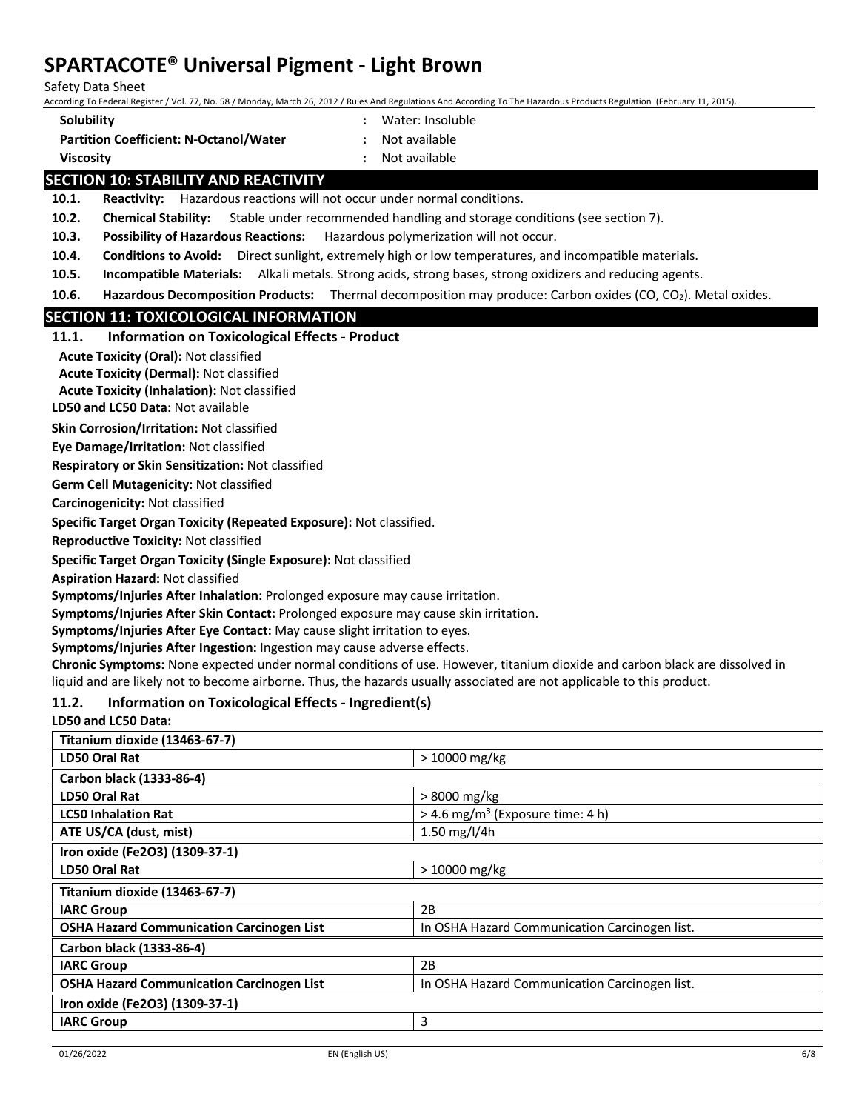Safety Data Sheet

According To Federal Register / Vol. 77, No. 58 / Monday, March 26, 2012 / Rules And Regulations And According To The Hazardous Products Regulation (February 11, 2015).

- **Solubility :** Water: Insoluble
- **Partition Coefficient: N-Octanol/Water :** Not available
- 
- **Viscosity :** Not available

# **SECTION 10: STABILITY AND REACTIVITY**

**10.1. Reactivity:** Hazardous reactions will not occur under normal conditions.

**10.2. Chemical Stability:** Stable under recommended handling and storage conditions (see section 7).

**10.3. Possibility of Hazardous Reactions:** Hazardous polymerization will not occur.

- **10.4. Conditions to Avoid:** Direct sunlight, extremely high or low temperatures, and incompatible materials.
- **10.5. Incompatible Materials:** Alkali metals. Strong acids, strong bases, strong oxidizers and reducing agents.

**10.6. Hazardous Decomposition Products:** Thermal decomposition may produce: Carbon oxides (CO, CO<sub>2</sub>). Metal oxides.

# **SECTION 11: TOXICOLOGICAL INFORMATION**

# **11.1. Information on Toxicological Effects - Product**

**Acute Toxicity (Oral):** Not classified

**Acute Toxicity (Dermal):** Not classified

**Acute Toxicity (Inhalation):** Not classified

**LD50 and LC50 Data:** Not available

**Skin Corrosion/Irritation:** Not classified

**Eye Damage/Irritation:** Not classified

**Respiratory or Skin Sensitization:** Not classified

**Germ Cell Mutagenicity:** Not classified

**Carcinogenicity:** Not classified

**Specific Target Organ Toxicity (Repeated Exposure):** Not classified.

**Reproductive Toxicity:** Not classified

**Specific Target Organ Toxicity (Single Exposure):** Not classified

**Aspiration Hazard:** Not classified

**Symptoms/Injuries After Inhalation:** Prolonged exposure may cause irritation.

**Symptoms/Injuries After Skin Contact:** Prolonged exposure may cause skin irritation.

**Symptoms/Injuries After Eye Contact:** May cause slight irritation to eyes.

**Symptoms/Injuries After Ingestion:** Ingestion may cause adverse effects.

**Chronic Symptoms:** None expected under normal conditions of use. However, titanium dioxide and carbon black are dissolved in liquid and are likely not to become airborne. Thus, the hazards usually associated are not applicable to this product.

# **11.2. Information on Toxicological Effects - Ingredient(s)**

# **LD50 and LC50 Data:**

| $>10000$ mg/kg<br><b>LD50 Oral Rat</b><br>Carbon black (1333-86-4)<br><b>LD50 Oral Rat</b><br>$>8000$ mg/kg<br>$>$ 4.6 mg/m <sup>3</sup> (Exposure time: 4 h)<br><b>LC50 Inhalation Rat</b><br>ATE US/CA (dust, mist)<br>1.50 mg/l/4h<br>Iron oxide (Fe2O3) (1309-37-1) | Titanium dioxide (13463-67-7) |                |
|-------------------------------------------------------------------------------------------------------------------------------------------------------------------------------------------------------------------------------------------------------------------------|-------------------------------|----------------|
|                                                                                                                                                                                                                                                                         |                               |                |
|                                                                                                                                                                                                                                                                         |                               |                |
|                                                                                                                                                                                                                                                                         |                               |                |
|                                                                                                                                                                                                                                                                         |                               |                |
|                                                                                                                                                                                                                                                                         |                               |                |
|                                                                                                                                                                                                                                                                         |                               |                |
|                                                                                                                                                                                                                                                                         | <b>LD50 Oral Rat</b>          | $>10000$ mg/kg |
| Titanium dioxide (13463-67-7)                                                                                                                                                                                                                                           |                               |                |
| 2B<br><b>IARC Group</b>                                                                                                                                                                                                                                                 |                               |                |
| <b>OSHA Hazard Communication Carcinogen List</b><br>In OSHA Hazard Communication Carcinogen list.                                                                                                                                                                       |                               |                |
| Carbon black (1333-86-4)                                                                                                                                                                                                                                                |                               |                |
| 2B<br><b>IARC Group</b>                                                                                                                                                                                                                                                 |                               |                |
| <b>OSHA Hazard Communication Carcinogen List</b><br>In OSHA Hazard Communication Carcinogen list.                                                                                                                                                                       |                               |                |
| Iron oxide (Fe2O3) (1309-37-1)                                                                                                                                                                                                                                          |                               |                |
| 3<br><b>IARC Group</b>                                                                                                                                                                                                                                                  |                               |                |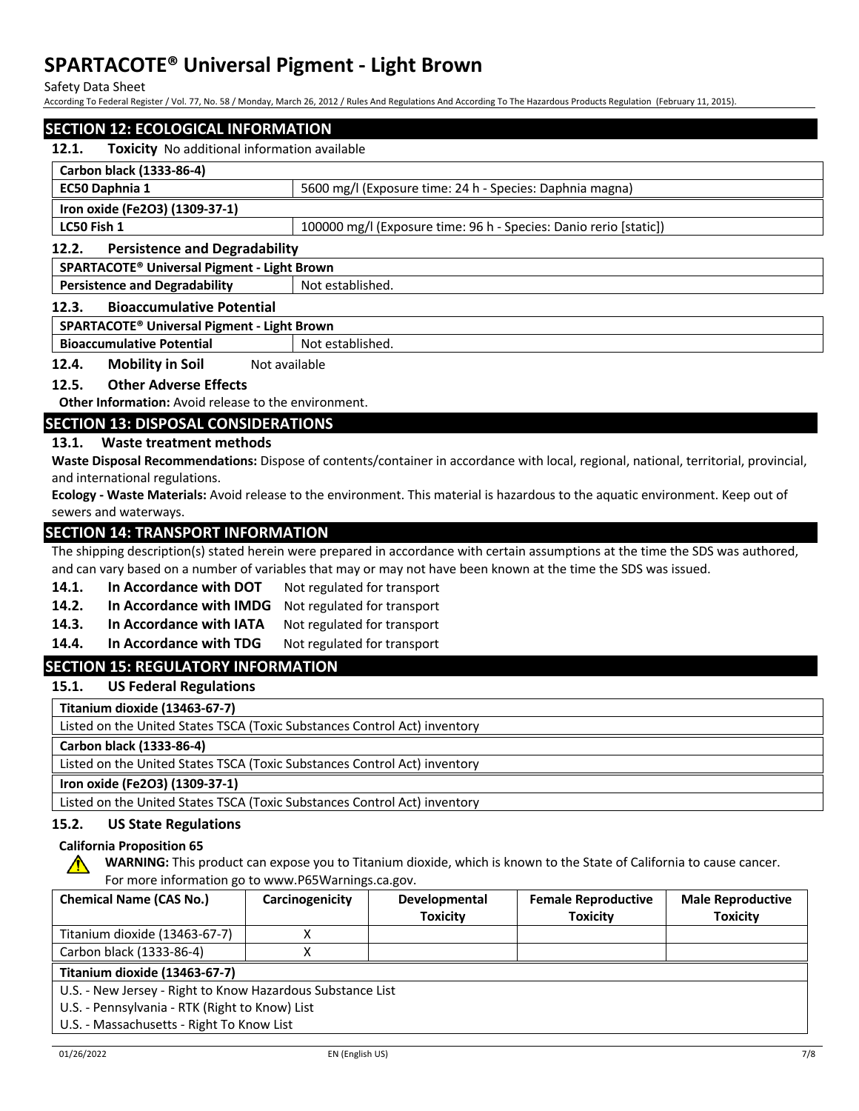Safety Data Sheet

According To Federal Register / Vol. 77, No. 58 / Monday, March 26, 2012 / Rules And Regulations And According To The Hazardous Products Regulation (February 11, 2015).

# **SECTION 12: ECOLOGICAL INFORMATION**

| 12.1. |  | <b>Toxicity</b> No additional information available |
|-------|--|-----------------------------------------------------|
|-------|--|-----------------------------------------------------|

| Carbon black (1333-86-4)                      |                                                                   |  |
|-----------------------------------------------|-------------------------------------------------------------------|--|
| EC50 Daphnia 1                                | 5600 mg/l (Exposure time: 24 h - Species: Daphnia magna)          |  |
| Iron oxide (Fe2O3) (1309-37-1)                |                                                                   |  |
| LC50 Fish 1                                   | 100000 mg/l (Exposure time: 96 h - Species: Danio rerio [static]) |  |
| <b>Persistence and Degradability</b><br>12.2. |                                                                   |  |
| SPARTACOTE® Universal Pigment - Light Brown   |                                                                   |  |
| <b>Persistence and Degradability</b>          | Not established.                                                  |  |

#### **12.3. Bioaccumulative Potential**

#### **SPARTACOTE® Universal Pigment - Light Brown**

**Bioaccumulative Potential Figure 1 Not established.** 

**12.4. Mobility in Soil** Not available

# **12.5. Other Adverse Effects**

**Other Information:** Avoid release to the environment.

# **SECTION 13: DISPOSAL CONSIDERATIONS**

# **13.1. Waste treatment methods**

**Waste Disposal Recommendations:** Dispose of contents/container in accordance with local, regional, national, territorial, provincial, and international regulations.

**Ecology - Waste Materials:** Avoid release to the environment. This material is hazardous to the aquatic environment. Keep out of sewers and waterways.

# **SECTION 14: TRANSPORT INFORMATION**

The shipping description(s) stated herein were prepared in accordance with certain assumptions at the time the SDS was authored, and can vary based on a number of variables that may or may not have been known at the time the SDS was issued.

- 14.1. In Accordance with DOT Not regulated for transport
- **14.2. In Accordance with IMDG** Not regulated for transport
- 14.3. In Accordance with IATA Not regulated for transport
- 14.4. In Accordance with TDG Not regulated for transport

# **SECTION 15: REGULATORY INFORMATION**

**15.1. US Federal Regulations**

**Titanium dioxide (13463-67-7)**

Listed on the United States TSCA (Toxic Substances Control Act) inventory

**Carbon black (1333-86-4)**

Listed on the United States TSCA (Toxic Substances Control Act) inventory

# **Iron oxide (Fe2O3) (1309-37-1)**

Listed on the United States TSCA (Toxic Substances Control Act) inventory

# **15.2. US State Regulations**

#### **California Proposition 65**

**WARNING:** This product can expose you to Titanium dioxide, which is known to the State of California to cause cancer. For more information go to www.P65Warnings.ca.gov.

| <b>Chemical Name (CAS No.)</b>                             | Carcinogenicity | <b>Developmental</b> | <b>Female Reproductive</b> | <b>Male Reproductive</b> |
|------------------------------------------------------------|-----------------|----------------------|----------------------------|--------------------------|
|                                                            |                 | <b>Toxicity</b>      | <b>Toxicity</b>            | <b>Toxicity</b>          |
| Titanium dioxide (13463-67-7)                              |                 |                      |                            |                          |
| Carbon black (1333-86-4)                                   |                 |                      |                            |                          |
| Titanium dioxide (13463-67-7)                              |                 |                      |                            |                          |
| U.S. - New Jersey - Right to Know Hazardous Substance List |                 |                      |                            |                          |
| U.S. - Pennsylvania - RTK (Right to Know) List             |                 |                      |                            |                          |
| U.S. - Massachusetts - Right To Know List                  |                 |                      |                            |                          |

∕∿